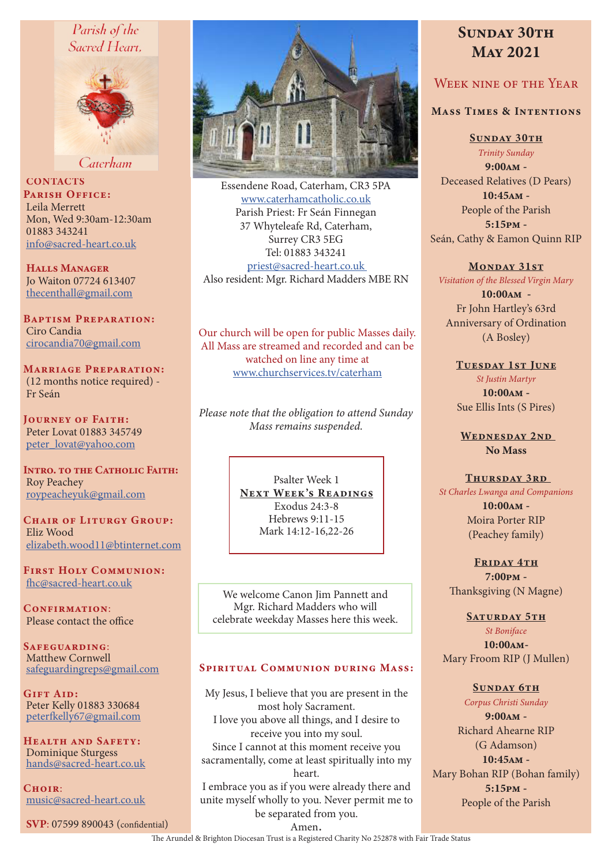# Parish of the Sacred Heart,



Caterham

**CONTACTS** PARISH OFFICE: Leila Merrett Mon, Wed 9:30am-12:30am 01883 343241 info@sacred-heart.co.uk

Halls Manager Jo Waiton 07724 613407 thecenthall@gmail.com

Baptism Preparation: Ciro Candia cirocandia70@gmail.com

Marriage Preparation: (12 months notice required) - Fr Seán

Journey of Faith: Peter Lovat 01883 345749 peter\_lovat@yahoo.com

INTRO. TO THE CATHOLIC FAITH: Roy Peachey roypeacheyuk@gmail.com

CHAIR OF LITURGY GROUP: Eliz Wood elizabeth.wood11@btinternet.com

First Holy Communion: fhc@sacred-heart.co.uk

CONFIRMATION: Please contact the office

SAFEGUARDING: Matthew Cornwell safeguardingreps@gmail.com

Gift Aid: Peter Kelly 01883 330684 peterfkelly67@gmail.com

Health and Safety: Dominique Sturgess hands@sacred-heart.co.uk

 $C$ HOIR $\cdot$ music@sacred-heart.co.uk

SVP: 07599 890043 (confidential)



Essendene Road, Caterham, CR3 5PA www.caterhamcatholic.co.uk Parish Priest: Fr Seán Finnegan 37 Whyteleafe Rd, Caterham, Surrey CR3 5EG Tel: 01883 343241 priest@sacred-heart.co.uk Also resident: Mgr. Richard Madders MBE RN

Our church will be open for public Masses daily. All Mass are streamed and recorded and can be watched on line any time at www.churchservices.tv/caterham

*Please note that the obligation to attend Sunday Mass remains suspended.*

> Psalter Week 1 NEXT WEEK'S READINGS Exodus 24:3-8 Hebrews 9:11-15 Mark 14:12-16,22-26

We welcome Canon Jim Pannett and Mgr. Richard Madders who will celebrate weekday Masses here this week.

#### Spiritual Communion during Mass:

My Jesus, I believe that you are present in the most holy Sacrament. I love you above all things, and I desire to receive you into my soul. Since I cannot at this moment receive you sacramentally, come at least spiritually into my heart. I embrace you as if you were already there and unite myself wholly to you. Never permit me to be separated from you.

# SUNDAY 30TH May 2021

# Week nine of the Year

## Mass Times & Intentions

SUNDAY 30TH

*Trinity Sunday* 9:00am - Deceased Relatives (D Pears) 10:45am - People of the Parish 5:15pm - Seán, Cathy & Eamon Quinn RIP

#### MONDAY 31ST

*Visitation of the Blessed Virgin Mary*

10:00am - Fr John Hartley's 63rd Anniversary of Ordination (A Bosley)

TUESDAY 1ST JUNE *St Justin Martyr* 10:00am - Sue Ellis Ints (S Pires)

WEDNESDAY 2ND No Mass

#### THURSDAY 3RD

*St Charles Lwanga and Companions*  $10:00AM -$ Moira Porter RIP

(Peachey family)

FRIDAY 4TH 7:00pm -

Thanksgiving (N Magne) SATURDAY 5TH

*St Boniface* 10:00am-Mary Froom RIP (J Mullen)

SUNDAY 6TH *Corpus Christi Sunday* 9:00am - Richard Ahearne RIP (G Adamson) 10:45am - Mary Bohan RIP (Bohan family) 5:15pm -

People of the Parish

Amen.

The Arundel & Brighton Diocesan Trust is a Registered Charity No 252878 with Fair Trade Status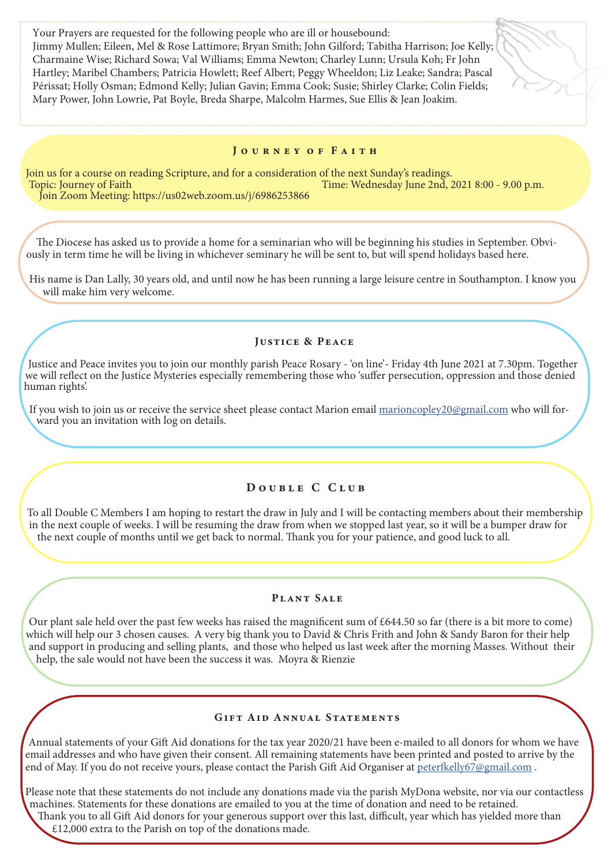Your Prayers are requested for the following people who are ill or housebound: Jimmy Mullen; Eileen, Mel & Rose Lattimore; Bryan Smith; John Gilford; Tabitha Harrison; Joe Kelly; Charmaine Wise; Richard Sowa; Val Williams; Emma Newton; Charley Lunn; Ursula Koh; Fr John Hartley; Maribel Chambers; Patricia Howlett; Reef Albert; Peggy Wheeldon; Liz Leake; Sandra; Pascal Périssat; Holly Osman; Edmond Kelly; Julian Gavin; Emma Cook; Susie; Shirley Clarke; Colin Fields; Mary Power, John Lowrie, Pat Boyle, Breda Sharpe, Malcolm Harmes, Sue Ellis & Jean Joakim.

#### JOURNEY OF FAITH

Join us for a course on reading Scripture, and for a consideration of the next Sunday's readings.<br>Topic: Journey of Faith Time: Wednesday June 2nd, 2 Time: Wednesday June 2nd, 2021 8:00 - 9.00 p.m. Join Zoom Meeting: https://us02web.zoom.us/j/6986253866

The Diocese has asked us to provide a home for a seminarian who will be beginning his studies in September. Obviously in term time he will be living in whichever seminary he will be sent to, but will spend holidays based here.

His name is Dan Lally, 30 years old, and until now he has been running a large leisure centre in Southampton. I know you will make him very welcome.

#### Justice & Peace

Justice and Peace invites you to join our monthly parish Peace Rosary - 'on line'- Friday 4th June 2021 at 7.30pm. Together we will reflect on the Justice Mysteries especially remembering those who 'suffer persecution, oppression and those denied human rights'.

If you wish to join us or receive the service sheet please contact Marion email marioncopley20@gmail.com who will forward you an invitation with log on details.

## Double C Club

To all Double C Members I am hoping to restart the draw in July and I will be contacting members about their membership in the next couple of weeks. I will be resuming the draw from when we stopped last year, so it will be a bumper draw for the next couple of months until we get back to normal. Thank you for your patience, and good luck to all.

#### Plant Sale

Our plant sale held over the past few weeks has raised the magnificent sum of £644.50 so far (there is a bit more to come) which will help our 3 chosen causes. A very big thank you to David & Chris Frith and John & Sandy Baron for their help and support in producing and selling plants, and those who helped us last week after the morning Masses. Without their help, the sale would not have been the success it was. Moyra & Rienzie

#### GIFT AID ANNUAL STATEMENTS

Annual statements of your Gift Aid donations for the tax year 2020/21 have been e-mailed to all donors for whom we have email addresses and who have given their consent. All remaining statements have been printed and posted to arrive by the end of May. If you do not receive yours, please contact the Parish Gift Aid Organiser at peterfkelly67@gmail.com.

Please note that these statements do not include any donations made via the parish MyDona website, nor via our contactless machines. Statements for these donations are emailed to you at the time of donation and need to be retained. Thank you to all Gift Aid donors for your generous support over this last, difficult, year which has yielded more than £12,000 extra to the Parish on top of the donations made.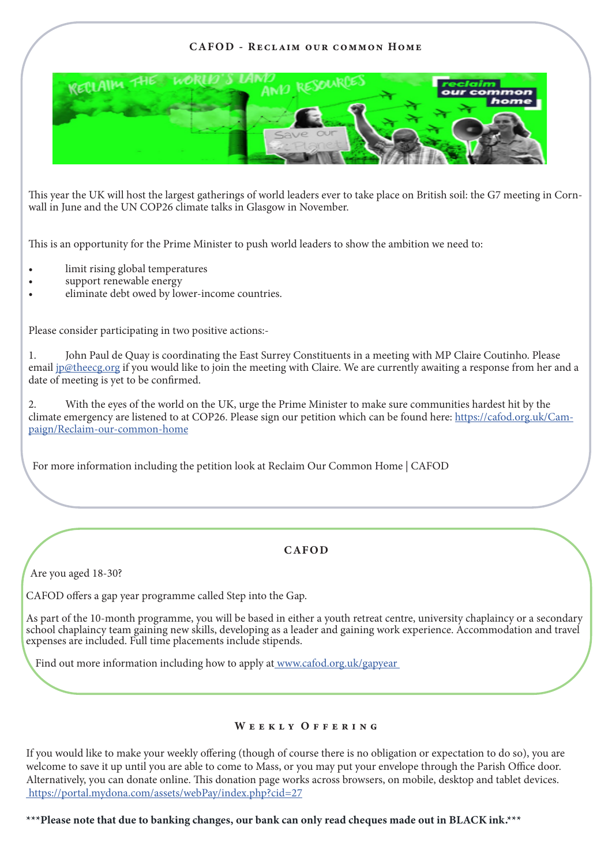## CAFOD - Reclaim our common Home



This year the UK will host the largest gatherings of world leaders ever to take place on British soil: the G7 meeting in Cornwall in June and the UN COP26 climate talks in Glasgow in November.

This is an opportunity for the Prime Minister to push world leaders to show the ambition we need to:

- limit rising global temperatures
- support renewable energy
- eliminate debt owed by lower-income countries.

Please consider participating in two positive actions:-

1. John Paul de Quay is coordinating the East Surrey Constituents in a meeting with MP Claire Coutinho. Please email jp@theecg.org if you would like to join the meeting with Claire. We are currently awaiting a response from her and a date of meeting is yet to be confirmed.

2. With the eyes of the world on the UK, urge the Prime Minister to make sure communities hardest hit by the climate emergency are listened to at COP26. Please sign our petition which can be found here: https://cafod.org.uk/Campaign/Reclaim-our-common-home

For more information including the petition look at Reclaim Our Common Home | CAFOD

## CAFOD

Are you aged 18-30?

CAFOD offers a gap year programme called Step into the Gap.

As part of the 10-month programme, you will be based in either a youth retreat centre, university chaplaincy or a secondary school chaplaincy team gaining new skills, developing as a leader and gaining work experience. Accommodation and travel expenses are included. Full time placements include stipends.

Find out more information including how to apply at www.cafod.org.uk/gapyear

## WEEKLY OFFERING

If you would like to make your weekly offering (though of course there is no obligation or expectation to do so), you are welcome to save it up until you are able to come to Mass, or you may put your envelope through the Parish Office door. Alternatively, you can donate online. This donation page works across browsers, on mobile, desktop and tablet devices. https://portal.mydona.com/assets/webPay/index.php?cid=27

\*\*\*Please note that due to banking changes, our bank can only read cheques made out in BLACK ink.\*\*\*